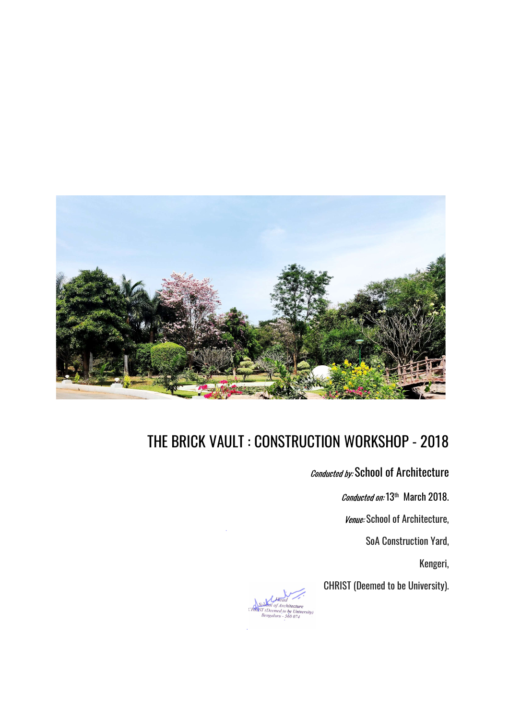

Conducted by: School of Architecture

Conducted on: 13<sup>th</sup> March 2018.

Venue: School of Architecture,

SoA Construction Yard,

Kengeri,

CHRIST (Deemed to be University).

tecture (Deemed to be Univer sity,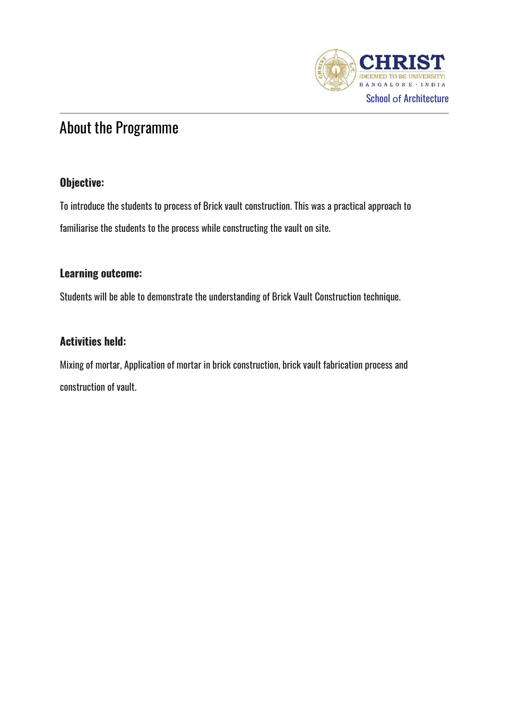

# About the Programme

## Objective:

To introduce the students to process of Brick vault construction. This was a practical approach to familiarise the students to the process while constructing the vault on site.

## Learning outcome:

Students will be able to demonstrate the understanding of Brick Vault Construction technique.

## Activities held:

Mixing of mortar, Application of mortar in brick construction, brick vault fabrication process and construction of vault.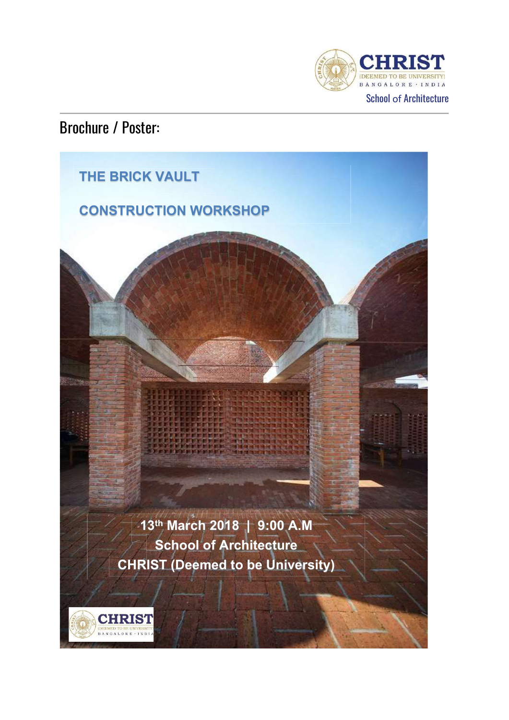

## Brochure / Poster:

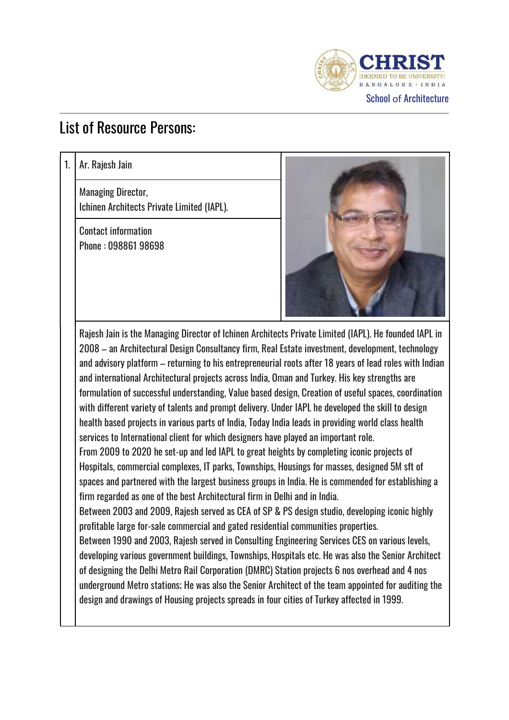

## List of Resource Persons:

1. | Ar. Rajesh Jain

Managing Director, Ichinen Architects Private Limited (IAPL).

Contact information Phone : 098861 98698



Rajesh Jain is the Managing Director of Ichinen Architects Private Limited (IAPL). He founded IAPL in 2008 – an Architectural Design Consultancy firm, Real Estate investment, development, technology and advisory platform – returning to his entrepreneurial roots after 18 years of lead roles with Indian and international Architectural projects across India, Oman and Turkey. His key strengths are formulation of successful understanding, Value based design, Creation of useful spaces, coordination with different variety of talents and prompt delivery. Under IAPL he developed the skill to design health based projects in various parts of India, Today India leads in providing world class health services to International client for which designers have played an important role. 2008 – an Architectural Design Consultancy firm, Real Estate investment, development, technology<br>and advisory platform – returning to his entrepreneurial roots after 18 years of lead roles with Indian<br>and international Arc Hospitals, commercial complexes, IT parks, Townships, Housings for masses, designed 5M sft of spaces and partnered with the largest business groups in India. He is commended for establishing a firm regarded as one of the best Architectural firm in Delhi and in India. Between 2003 and 2009, Rajesh served as CEA of SP & PS design studio, developing iconic highly profitable large for-sale commercial and gated residential communities properties. Between 1990 and 2003, Rajesh served in Consulting Engineering Services CES on various levels, developing various government buildings, Townships, Hospitals etc. He was also the Senior Architect Hospitals, commercial complexes, II parks, Iownships, Housings for masses, designed 5M stt of<br>spaces and partnered with the largest business groups in India. He is commended for establishing a<br>firm regarded as one of the b firm regarded as one of the best Architectural firm in Delhi and in India.<br>Between 2003 and 2009, Rajesh served as CEA of SP & PS design studio, developing iconic highly<br>profitable large for-sale commercial and gated resid

underground Metro stations; He was also the Senior Architect of the team appointed for auditing the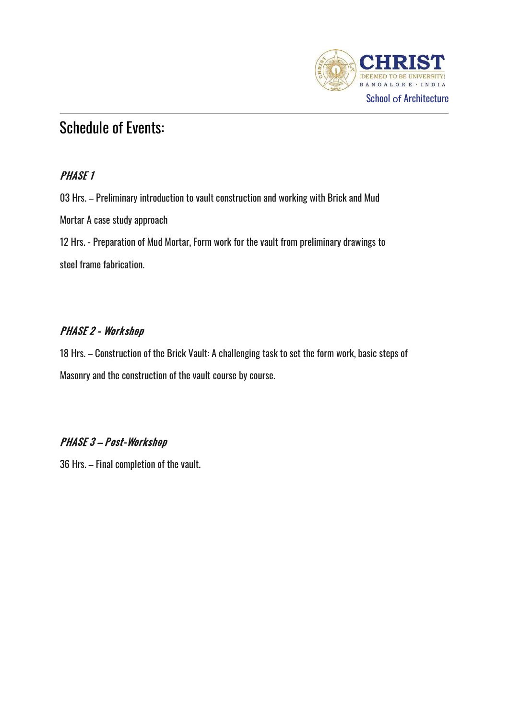

## Schedule of Events:

03 Hrs. – Preliminary introduction to vault construction and working with Brick and Mud Mortar A case study approach 12 Hrs. – Preliminary introduction to vault construction and working with Brick and Mud<br>Mortar A case study approach<br>12 Hrs. - Preparation of Mud Mortar, Form work for the vault from preliminary drawings to<br>steel frame fab steel frame fabrication.

## **PHASE 2 - Workshop**

18 Hrs. – Construction of the Brick Vault: A challenging task to set the form work, basic steps of Masonry and the construction of the vault course by course.

## PHASE 3 - Post-Workshop

36 Hrs. – Final completion of the vault.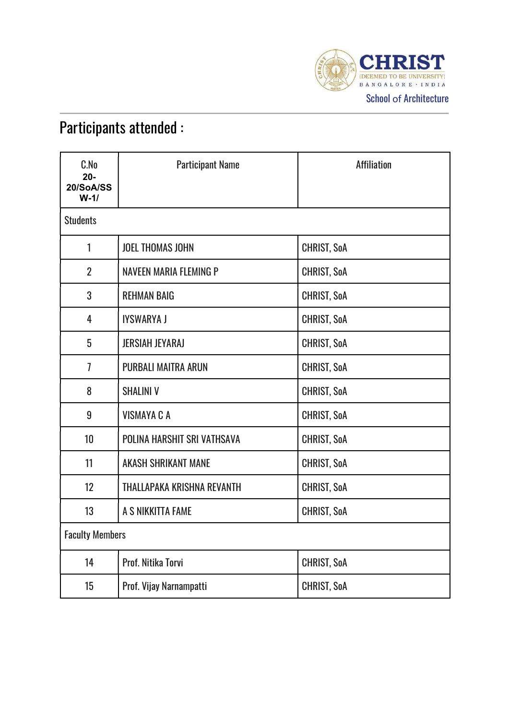

# Participants attended :

| C.No<br>$20 -$<br>20/SoA/SS<br>$W-1/$ | <b>Participant Name</b>     | <b>Affiliation</b> |
|---------------------------------------|-----------------------------|--------------------|
| <b>Students</b>                       |                             |                    |
| 1                                     | <b>JOEL THOMAS JOHN</b>     | CHRIST, SoA        |
| $\overline{2}$                        | NAVEEN MARIA FLEMING P      | <b>CHRIST, SoA</b> |
| 3                                     | <b>REHMAN BAIG</b>          | CHRIST, SoA        |
| 4                                     | <b>IYSWARYA J</b>           | CHRIST, SoA        |
| 5                                     | <b>JERSIAH JEYARAJ</b>      | <b>CHRIST, SoA</b> |
| $\overline{1}$                        | <b>PURBALI MAITRA ARUN</b>  | <b>CHRIST, SoA</b> |
| 8                                     | <b>SHALINI V</b>            | CHRIST, SoA        |
| 9                                     | <b>VISMAYA C A</b>          | <b>CHRIST, SoA</b> |
| 10                                    | POLINA HARSHIT SRI VATHSAVA | <b>CHRIST, SoA</b> |
| 11                                    | <b>AKASH SHRIKANT MANE</b>  | CHRIST, SoA        |
| 12                                    | THALLAPAKA KRISHNA REVANTH  | CHRIST, SoA        |
| 13                                    | A S NIKKITTA FAME           | <b>CHRIST, SoA</b> |
| <b>Faculty Members</b>                |                             |                    |
| 14                                    | Prof. Nitika Torvi          | <b>CHRIST, SoA</b> |
| 15                                    | Prof. Vijay Narnampatti     | CHRIST, SoA        |